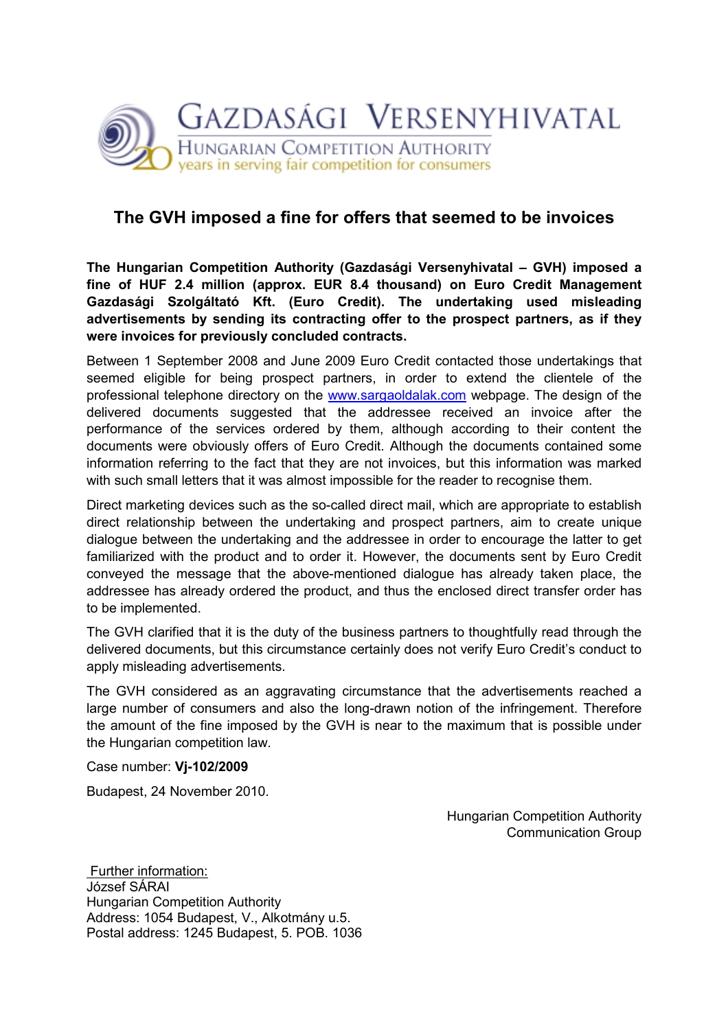

## The GVH imposed a fine for offers that seemed to be invoices

The Hungarian Competition Authority (Gazdasági Versenyhivatal – GVH) imposed a fine of HUF 2.4 million (approx. EUR 8.4 thousand) on Euro Credit Management Gazdasági Szolgáltató Kft. (Euro Credit). The undertaking used misleading advertisements by sending its contracting offer to the prospect partners, as if they were invoices for previously concluded contracts.

Between 1 September 2008 and June 2009 Euro Credit contacted those undertakings that seemed eligible for being prospect partners, in order to extend the clientele of the professional telephone directory on the www.sargaoldalak.com webpage. The design of the delivered documents suggested that the addressee received an invoice after the performance of the services ordered by them, although according to their content the documents were obviously offers of Euro Credit. Although the documents contained some information referring to the fact that they are not invoices, but this information was marked with such small letters that it was almost impossible for the reader to recognise them.

Direct marketing devices such as the so-called direct mail, which are appropriate to establish direct relationship between the undertaking and prospect partners, aim to create unique dialogue between the undertaking and the addressee in order to encourage the latter to get familiarized with the product and to order it. However, the documents sent by Euro Credit conveyed the message that the above-mentioned dialogue has already taken place, the addressee has already ordered the product, and thus the enclosed direct transfer order has to be implemented.

The GVH clarified that it is the duty of the business partners to thoughtfully read through the delivered documents, but this circumstance certainly does not verify Euro Credit's conduct to apply misleading advertisements.

The GVH considered as an aggravating circumstance that the advertisements reached a large number of consumers and also the long-drawn notion of the infringement. Therefore the amount of the fine imposed by the GVH is near to the maximum that is possible under the Hungarian competition law.

Case number: Vj-102/2009

Budapest, 24 November 2010.

Hungarian Competition Authority Communication Group

 Further information: József SÁRAI Hungarian Competition Authority Address: 1054 Budapest, V., Alkotmány u.5. Postal address: 1245 Budapest, 5. POB. 1036